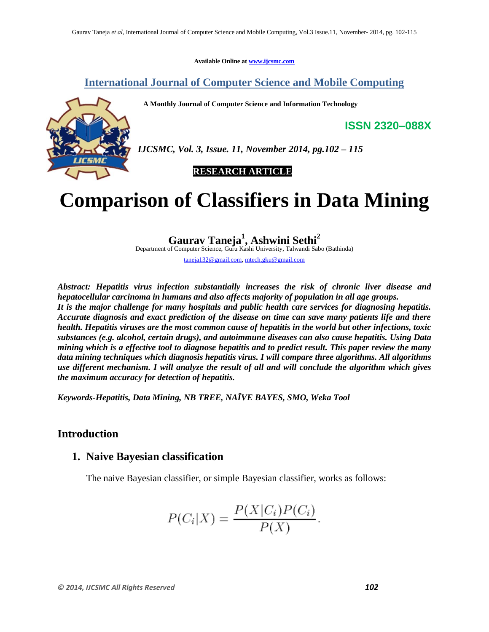**Available Online at www.ijcsmc.com**

### **International Journal of Computer Science and Mobile Computing**

 **A Monthly Journal of Computer Science and Information Technology**



*IJCSMC, Vol. 3, Issue. 11, November 2014, pg.102 – 115*

*SEARCH ARTICLE* 

# **Comparison of Classifiers in Data Mining**

**Gaurav Taneja<sup>1</sup> , Ashwini Sethi<sup>2</sup>** Department of Computer Science, Guru Kashi University, Talwandi Sabo (Bathinda)

taneja132@gmail.com, mtech.gku@gmail.com

*Abstract: Hepatitis virus infection substantially increases the risk of chronic liver disease and hepatocellular carcinoma in humans and also affects majority of population in all age groups. It is the major challenge for many hospitals and public health care services for diagnosing hepatitis. Accurate diagnosis and exact prediction of the disease on time can save many patients life and there health. Hepatitis viruses are the most common cause of hepatitis in the world but other infections, toxic substances (e.g. alcohol, certain drugs), and autoimmune diseases can also cause hepatitis. Using Data mining which is a effective tool to diagnose hepatitis and to predict result. This paper review the many data mining techniques which diagnosis hepatitis virus. I will compare three algorithms. All algorithms use different mechanism. I will analyze the result of all and will conclude the algorithm which gives the maximum accuracy for detection of hepatitis.*

*Keywords-Hepatitis, Data Mining, NB TREE, NAÏVE BAYES, SMO, Weka Tool*

### **Introduction**

### **1. Naive Bayesian classification**

The naive Bayesian classifier, or simple Bayesian classifier, works as follows:

$$
P(C_i|X) = \frac{P(X|C_i)P(C_i)}{P(X)}.
$$

**ISSN 2320–088X**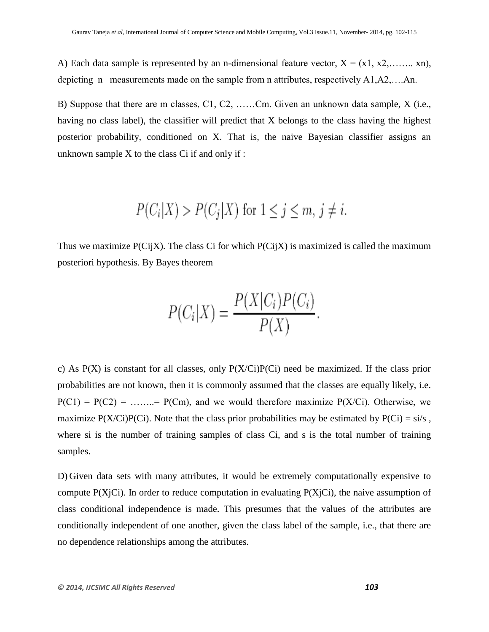A) Each data sample is represented by an n-dimensional feature vector,  $X = (x_1, x_2, \ldots, x_n)$ , depicting n measurements made on the sample from n attributes, respectively A1,A2,….An.

B) Suppose that there are m classes, C1, C2, ……Cm. Given an unknown data sample, X (i.e., having no class label), the classifier will predict that X belongs to the class having the highest posterior probability, conditioned on X. That is, the naive Bayesian classifier assigns an unknown sample  $X$  to the class  $Ci$  if and only if :

$$
P(C_i|X) > P(C_j|X) \text{ for } 1 \le j \le m, j \ne i.
$$

Thus we maximize  $P(Ci|X)$ . The class Ci for which  $P(Ci|X)$  is maximized is called the maximum posteriori hypothesis. By Bayes theorem

$$
P(C_i|X) = \frac{P(X|C_i)P(C_i)}{P(X)}.
$$

c) As  $P(X)$  is constant for all classes, only  $P(X/Ci)P(Ci)$  need be maximized. If the class prior probabilities are not known, then it is commonly assumed that the classes are equally likely, i.e.  $P(C1) = P(C2) = \dots = P(Cm)$ , and we would therefore maximize  $P(X/Ci)$ . Otherwise, we maximize  $P(X/Ci)P(Ci)$ . Note that the class prior probabilities may be estimated by  $P(Ci) = \frac{\text{si}}{s}$ , where si is the number of training samples of class Ci, and s is the total number of training samples.

D) Given data sets with many attributes, it would be extremely computationally expensive to compute  $P(X_i|C_i)$ . In order to reduce computation in evaluating  $P(X_i|C_i)$ , the naive assumption of class conditional independence is made. This presumes that the values of the attributes are conditionally independent of one another, given the class label of the sample, i.e., that there are no dependence relationships among the attributes.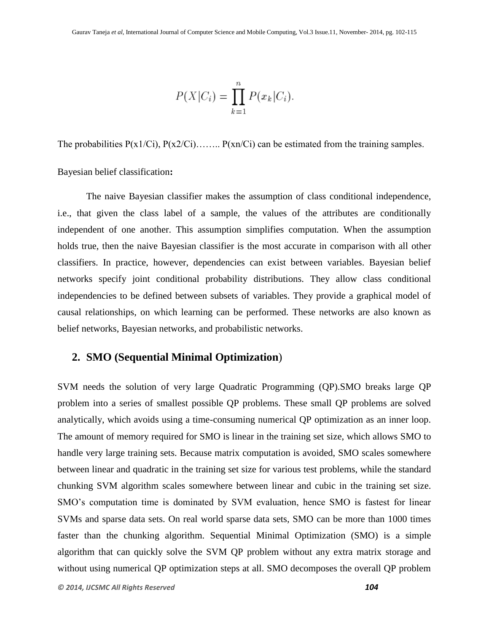$$
P(X|C_i) = \prod_{k=1}^{n} P(x_k|C_i).
$$

The probabilities  $P(x1/Ci)$ ,  $P(x2/Ci)$ ……..  $P(xn/Ci)$  can be estimated from the training samples.

Bayesian belief classification**:**

The naive Bayesian classifier makes the assumption of class conditional independence, i.e., that given the class label of a sample, the values of the attributes are conditionally independent of one another. This assumption simplifies computation. When the assumption holds true, then the naive Bayesian classifier is the most accurate in comparison with all other classifiers. In practice, however, dependencies can exist between variables. Bayesian belief networks specify joint conditional probability distributions. They allow class conditional independencies to be defined between subsets of variables. They provide a graphical model of causal relationships, on which learning can be performed. These networks are also known as belief networks, Bayesian networks, and probabilistic networks.

### **2. SMO (Sequential Minimal Optimization**)

SVM needs the solution of very large Quadratic Programming (QP).SMO breaks large QP problem into a series of smallest possible QP problems. These small QP problems are solved analytically, which avoids using a time-consuming numerical QP optimization as an inner loop. The amount of memory required for SMO is linear in the training set size, which allows SMO to handle very large training sets. Because matrix computation is avoided, SMO scales somewhere between linear and quadratic in the training set size for various test problems, while the standard chunking SVM algorithm scales somewhere between linear and cubic in the training set size. SMO's computation time is dominated by SVM evaluation, hence SMO is fastest for linear SVMs and sparse data sets. On real world sparse data sets, SMO can be more than 1000 times faster than the chunking algorithm. Sequential Minimal Optimization (SMO) is a simple algorithm that can quickly solve the SVM QP problem without any extra matrix storage and without using numerical QP optimization steps at all. SMO decomposes the overall QP problem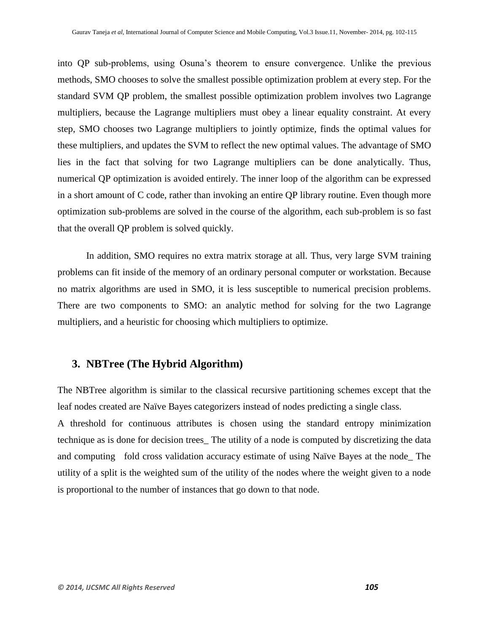into QP sub-problems, using Osuna's theorem to ensure convergence. Unlike the previous methods, SMO chooses to solve the smallest possible optimization problem at every step. For the standard SVM QP problem, the smallest possible optimization problem involves two Lagrange multipliers, because the Lagrange multipliers must obey a linear equality constraint. At every step, SMO chooses two Lagrange multipliers to jointly optimize, finds the optimal values for these multipliers, and updates the SVM to reflect the new optimal values. The advantage of SMO lies in the fact that solving for two Lagrange multipliers can be done analytically. Thus, numerical QP optimization is avoided entirely. The inner loop of the algorithm can be expressed in a short amount of C code, rather than invoking an entire QP library routine. Even though more optimization sub-problems are solved in the course of the algorithm, each sub-problem is so fast that the overall QP problem is solved quickly.

In addition, SMO requires no extra matrix storage at all. Thus, very large SVM training problems can fit inside of the memory of an ordinary personal computer or workstation. Because no matrix algorithms are used in SMO, it is less susceptible to numerical precision problems. There are two components to SMO: an analytic method for solving for the two Lagrange multipliers, and a heuristic for choosing which multipliers to optimize.

### **3. NBTree (The Hybrid Algorithm)**

The NBTree algorithm is similar to the classical recursive partitioning schemes except that the leaf nodes created are Naïve Bayes categorizers instead of nodes predicting a single class.

A threshold for continuous attributes is chosen using the standard entropy minimization technique as is done for decision trees\_ The utility of a node is computed by discretizing the data and computing fold cross validation accuracy estimate of using Naïve Bayes at the node\_ The utility of a split is the weighted sum of the utility of the nodes where the weight given to a node is proportional to the number of instances that go down to that node.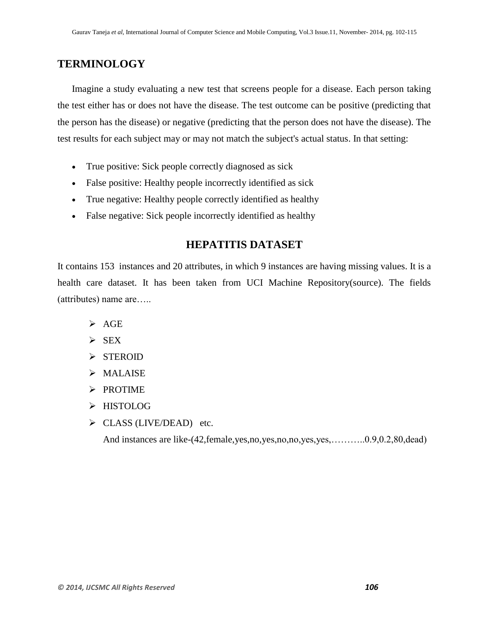### **TERMINOLOGY**

Imagine a study evaluating a new test that screens people for a disease. Each person taking the test either has or does not have the disease. The test outcome can be positive (predicting that the person has the disease) or negative (predicting that the person does not have the disease). The test results for each subject may or may not match the subject's actual status. In that setting:

- True positive: Sick people correctly diagnosed as sick
- False positive: Healthy people incorrectly identified as sick
- True negative: Healthy people correctly identified as healthy
- False negative: Sick people incorrectly identified as healthy

### **HEPATITIS DATASET**

It contains 153 instances and 20 attributes, in which 9 instances are having missing values. It is a health care dataset. It has been taken from UCI Machine Repository(source). The fields (attributes) name are…..

- $\triangleright$  AGE
- $\triangleright$  SEX
- > STEROID
- $>$ MALAISE
- $\triangleright$  PROTIME
- > HISTOLOG
- $\triangleright$  CLASS (LIVE/DEAD) etc.

And instances are like-(42,female,yes,no,yes,no,no,yes,yes,.............0.9,0.2,80,dead)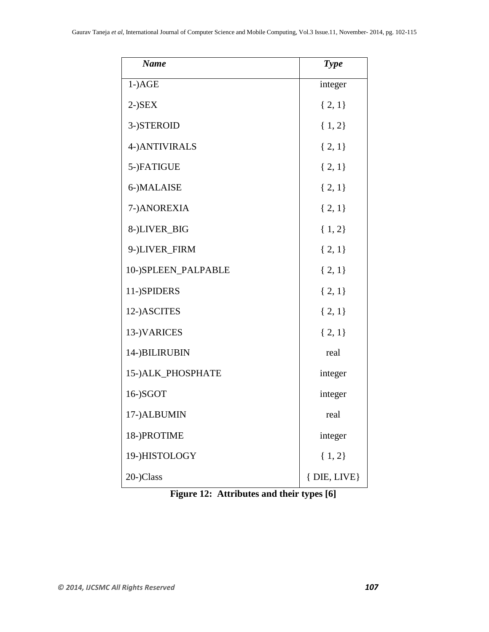| <b>Name</b>         | <b>Type</b>     |
|---------------------|-----------------|
| $1$ -) $AGE$        | integer         |
| $2$ -) $SEX$        | ${2, 1}$        |
| 3-)STEROID          | $\{1,2\}$       |
| 4-) ANTIVIRALS      | $\{2, 1\}$      |
| 5-)FATIGUE          | $\{2, 1\}$      |
| 6-)MALAISE          | ${2, 1}$        |
| 7-)ANOREXIA         | ${2, 1}$        |
| 8-)LIVER_BIG        | ${1, 2}$        |
| 9-)LIVER_FIRM       | ${2, 1}$        |
| 10-)SPLEEN_PALPABLE | $\{2, 1\}$      |
| 11-)SPIDERS         | $\{2, 1\}$      |
| 12-)ASCITES         | ${2, 1}$        |
| 13-)VARICES         | $\{2, 1\}$      |
| 14-)BILIRUBIN       | real            |
| 15-) ALK_PHOSPHATE  | integer         |
| 16-)SGOT            | integer         |
| 17-)ALBUMIN         | real            |
| 18-)PROTIME         | integer         |
| 19-)HISTOLOGY       | ${1, 2}$        |
| 20-)Class           | $\{$ DIE, LIVE} |

 **Figure 12: Attributes and their types [6]**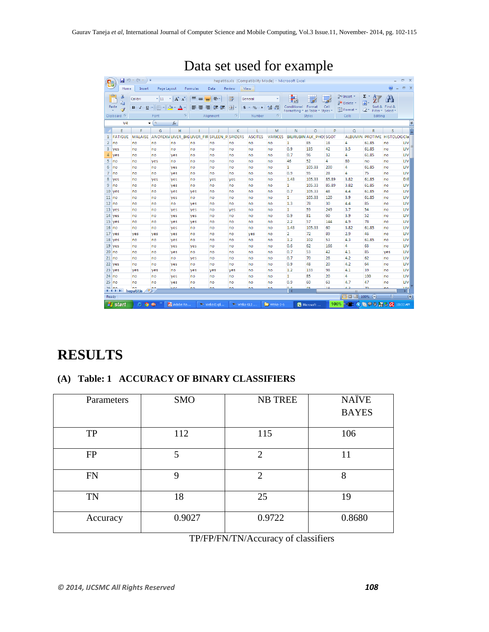|                | 日の。<br>$(21 - )$<br>÷<br>$\mathbf{x}$<br>σ<br>hepatitis.xls [Compatibility Mode] - Microsoft Excel |                         |                |                                             |                           |               |               |                |                                      |                             |                               |           |                      |                             |                           |                        |
|----------------|----------------------------------------------------------------------------------------------------|-------------------------|----------------|---------------------------------------------|---------------------------|---------------|---------------|----------------|--------------------------------------|-----------------------------|-------------------------------|-----------|----------------------|-----------------------------|---------------------------|------------------------|
|                | Home                                                                                               | Insert                  | Page Layout    |                                             | Formulas                  | Data          | <b>Review</b> | View           |                                      |                             |                               |           |                      |                             |                           | $\mathbf{x}$<br>$\Box$ |
|                | ö<br>la.                                                                                           | Calibri                 | $+111$         | $A \cap A$<br>٠                             | 특<br>$\equiv$<br>$\equiv$ | $\frac{1}{2}$ | 冨             | General        |                                      | ⊞∎≤≸                        |                               |           | ansert *<br>Delete * | Σ<br>A -<br>▣               | Гù                        |                        |
|                | Paste<br>Í                                                                                         | U<br>в<br>$\mathcal{I}$ | 開              | $\mathcal{D}$ .<br>$\mathbf{A}$             | ▤<br>亖<br>国               | 钜<br>福        | 酉<br>s.       | $\%$<br>,      | $\frac{.00}{-.00}$<br>$\frac{4}{00}$ | Conditional<br>Formatting ~ | Format<br>as Table * Styles * | Cell      | Format *             | Q-<br>Filter *              | Sort & Find &<br>Select * |                        |
|                | Clipboard <b>IV</b>                                                                                |                         | Font           | $\overline{12}$                             |                           | Alignment     | Tsi           | Number         | Fa.                                  |                             | <b>Styles</b>                 |           | Cells                | Editing                     |                           |                        |
|                | ¥<br>$f_x$<br>V <sub>4</sub><br>$\Box$<br>۰                                                        |                         |                |                                             |                           |               |               |                |                                      |                             |                               |           |                      |                             |                           |                        |
|                | Е                                                                                                  | F                       | G              | н                                           |                           | J             | K             | L              | M                                    | N                           | $\circ$                       | P         | $\alpha$             | R                           | S                         | Ē                      |
| 1              | <b>FATIGUE</b>                                                                                     | <b>MALAISE</b>          |                | ANOREXIALIVER BIGLIVER FIR SPLEEN P SPIDERS |                           |               |               | <b>ASCITES</b> | <b>VARICES</b>                       |                             | <b>BILIRUBIN ALK PHOSSGOT</b> |           |                      | ALBUMIN PROTIME HISTOLOGCIa |                           |                        |
| 2              | no                                                                                                 | no                      | no             | no                                          | no                        | no            | no            | no             | no                                   | 1                           | 85                            | 18        | $\overline{4}$       | 61.85                       | no                        | LIV                    |
| 3              | yes                                                                                                | no                      | no             | no                                          | no                        | no            | no            | no             | no                                   | 0.9                         | 135                           | 42        | 3.5                  | 61.85                       | no                        | LIV                    |
| 4              | ves                                                                                                | no                      | no             | ves                                         | no                        | no            | no            | no             | no                                   | 0.7                         | 96                            | 32        | 4                    | 61.85                       | no                        | LIV                    |
| 5              | no                                                                                                 | no                      | yes            | no                                          | no                        | no            | no            | no             | no                                   | 46                          | 52                            | 4         | 80                   | no                          | no                        | LIV                    |
| 6              | no                                                                                                 | no                      | no             | yes                                         | no                        | no            | no            | no             | no                                   | 1                           | 105.33                        | 200       | 4                    | 61.85                       | no                        | LIV                    |
| $\overline{7}$ | no                                                                                                 | no                      | no             | yes                                         | no                        | no            | no            | no             | no                                   | 0.9                         | 95                            | 28        | 4                    | 75                          | no                        | LIV                    |
| 8              | ves                                                                                                | no                      | ves            | ves                                         | no                        | ves           | yes           | no             | no                                   | 1.43                        | 105.33                        | 85.89     | 3.82                 | 61.85                       | no                        | DIE                    |
| 9              | <b>no</b>                                                                                          | no                      | no             | yes                                         | no                        | no            | no            | no             | no                                   | 1                           | 105.33                        | 85.89     | 3.82                 | 61.85                       | no                        | LIV                    |
| 10             | <b>ves</b>                                                                                         | no                      | no             | yes                                         | yes                       | no            | no            | no             | no                                   | 0.7                         | 105.33                        | 48        | 4.4                  | 61.85                       | no                        | LIV                    |
| $11$ no        |                                                                                                    | no                      | no             | yes                                         | no                        | no            | no            | no             | no                                   | 1                           | 105.33                        | 120       | 3.9                  | 61.85                       | no                        | LIV                    |
|                | $12$ no                                                                                            | no                      | no             | no                                          | ves                       | no            | no            | no             | no                                   | 1.3                         | 78                            | 30        | 4.4                  | 85                          | no                        | LIV                    |
|                | 13 yes                                                                                             | no                      | no             | ves                                         | ves                       | no            | ves           | no             | no                                   | $\mathbf{1}$                | 59                            | 249       | 3.7                  | 54                          | no                        | LIV                    |
|                | 14 yes                                                                                             | no                      | no             | yes                                         | ves                       | no            | no            | no             | no                                   | 0.9                         | 81                            | 60        | 3.9                  | 52                          | no                        | LIV                    |
|                | 15 yes                                                                                             | no                      | no             | yes                                         | yes                       | no            | no            | no             | no                                   | 2.2                         | 57                            | 144       | 4.9                  | 78                          | no                        | LIV                    |
| $16$ no        |                                                                                                    | no                      | no             | yes                                         | no                        | no            | no            | no             | no                                   | 1.43                        | 105.33                        | 60        | 3.82                 | 61.85                       | no                        | LIV                    |
|                | 17 yes                                                                                             | yes                     | yes            | ves                                         | no                        | no            | no            | yes            | no                                   | $\overline{2}$              | 72                            | 89        | 2.9                  | 46                          | no                        | LIV                    |
|                | 18 yes                                                                                             | no                      | no             | yes                                         | no                        | no            | no            | no             | no                                   | 1,2                         | 102                           | 53        | 4.3                  | 61.85                       | no                        | LIV                    |
|                | $19$ yes                                                                                           | no                      | no             | yes                                         | ves                       | no            | no            | no             | no                                   | 0.6                         | 62<br>53                      | 166<br>42 | 4                    | 63<br>85                    | no                        | LIV<br>LIV             |
|                | $20$ no                                                                                            | no                      | no             | yes                                         | no                        | no            | no            | no             | no                                   | 0.7<br>0.7                  | 70                            | 28        | 4.1<br>4.2           | 62                          | yes                       | LIV                    |
|                | $21$ no                                                                                            | no                      | no             | no                                          | ves                       | no            | no            | no             | no                                   | 0.9                         | 48                            | 20        | 4.2                  | 64                          | no                        | LIV                    |
|                | 22 yes                                                                                             | no                      | no             | ves                                         | no                        | no            | no            | no             | no                                   | 1.2                         | 133                           | 98        | 4.1                  | 39                          | no                        | LIV                    |
|                | 23 yes<br>$24$ no                                                                                  | ves<br>no               | ves<br>no      | no<br>yes                                   | ves<br>no                 | ves<br>no     | ves<br>no     | no<br>no       | no<br>no                             | 1                           | 85                            | 20        | 4                    | 100                         | no<br>no                  | LIV                    |
|                | $25$ no                                                                                            | no                      | no             |                                             | no                        | no            | no            | no             | no                                   | 0.9                         | 60                            | 63        | 4.7                  | 47                          | no                        | LIV                    |
|                | $26$ no                                                                                            | n <sub>0</sub>          | n <sub>0</sub> | ves<br><b>MOC</b>                           | n <sub>0</sub>            | no            | $n_{\odot}$   | no             | no                                   | 0A                          | Aς.                           | 10        | A <sub>2</sub>       | $\overline{70}$             | n <sub>0</sub>            | <b>TIM</b>             |
|                | $H + H$                                                                                            | hepatitis               |                |                                             |                           |               |               |                |                                      | ШK                          |                               |           | Ш                    |                             |                           | Þ.                     |
| Ready          |                                                                                                    |                         |                |                                             |                           |               |               |                |                                      |                             |                               |           | <b>BOD</b>           | 100%                        | $\Box$                    | $\bigoplus$            |
|                | <b>H</b> start                                                                                     | e<br>o                  | $\mathbf{m}$   | Adobe Re                                    |                           | Weka Expl     | ** Weka GUI   |                | Weka-3-6                             |                             | Microsoft                     | 100%      | -62                  | 圖<br>$\bullet$              | $\overline{\alpha}$       | 10:00 AM               |

## Data set used for example

### **RESULTS**

### **(A) Table: 1 ACCURACY OF BINARY CLASSIFIERS**

| Parameters | <b>SMO</b> | <b>NB TREE</b> | <b>NAÏVE</b> |
|------------|------------|----------------|--------------|
|            |            |                | <b>BAYES</b> |
|            |            |                |              |
| <b>TP</b>  | 112        | 115            | 106          |
| <b>FP</b>  | 5          | $\overline{2}$ | 11           |
| <b>FN</b>  | 9          | $\overline{c}$ | 8            |
| <b>TN</b>  | 18         | 25             | 19           |
| Accuracy   | 0.9027     | 0.9722         | 0.8680       |

TP/FP/FN/TN/Accuracy of classifiers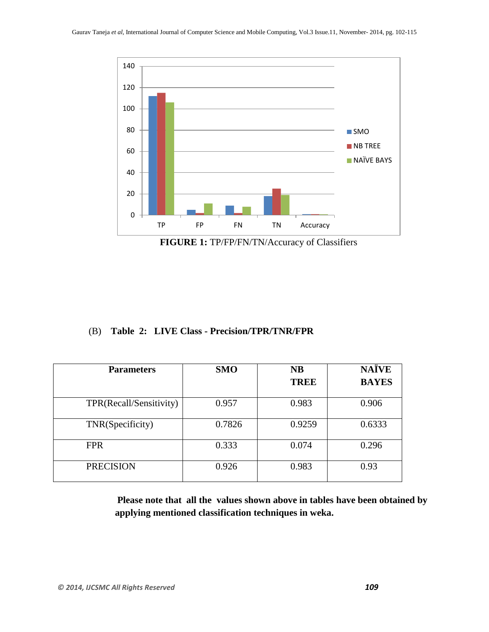

**FIGURE 1:** TP/FP/FN/TN/Accuracy of Classifiers

#### (B) **Table 2: LIVE Class - Precision/TPR/TNR/FPR**

| <b>Parameters</b>       | <b>SMO</b> | <b>NB</b>   | <b>NAÏVE</b> |  |
|-------------------------|------------|-------------|--------------|--|
|                         |            | <b>TREE</b> | <b>BAYES</b> |  |
| TPR(Recall/Sensitivity) | 0.957      | 0.983       | 0.906        |  |
| TNR(Specificity)        | 0.7826     | 0.9259      | 0.6333       |  |
| <b>FPR</b>              | 0.333      | 0.074       | 0.296        |  |
| <b>PRECISION</b>        | 0.926      | 0.983       | 0.93         |  |

**Please note that all the values shown above in tables have been obtained by applying mentioned classification techniques in weka.**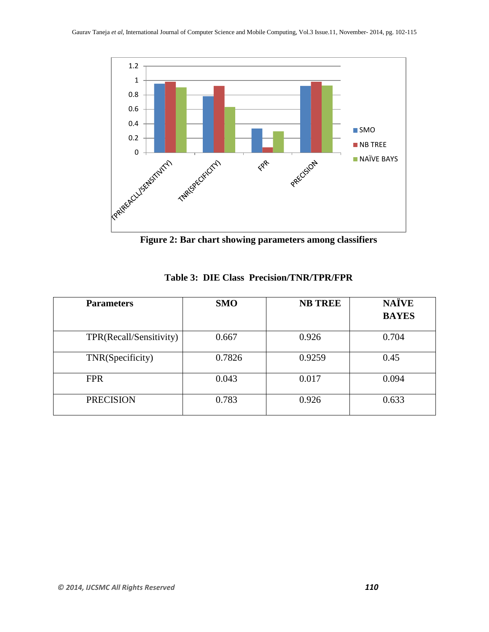

**Figure 2: Bar chart showing parameters among classifiers**

| <b>Parameters</b>       | <b>SMO</b> | <b>NB TREE</b> | <b>NAÏVE</b><br><b>BAYES</b> |
|-------------------------|------------|----------------|------------------------------|
| TPR(Recall/Sensitivity) | 0.667      | 0.926          | 0.704                        |
| TNR(Specificity)        | 0.7826     | 0.9259         | 0.45                         |
| <b>FPR</b>              | 0.043      | 0.017          | 0.094                        |
| <b>PRECISION</b>        | 0.783      | 0.926          | 0.633                        |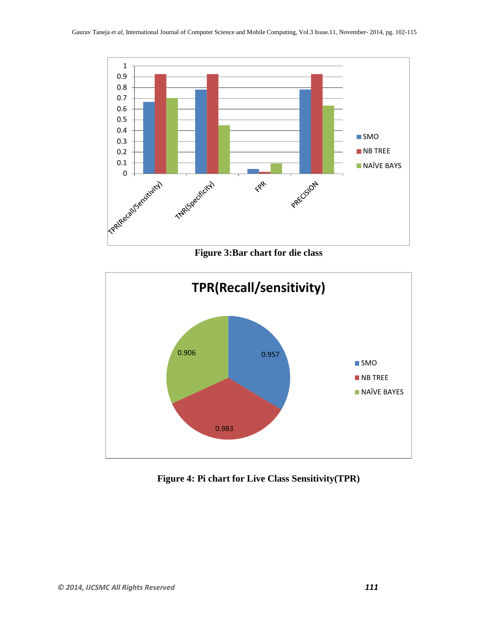

**Figure 3:Bar chart for die class**



**Figure 4: Pi chart for Live Class Sensitivity(TPR)**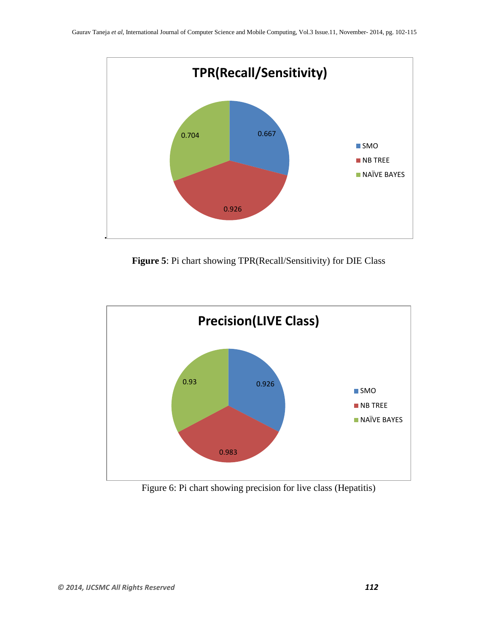

**Figure 5**: Pi chart showing TPR(Recall/Sensitivity) for DIE Class



Figure 6: Pi chart showing precision for live class (Hepatitis)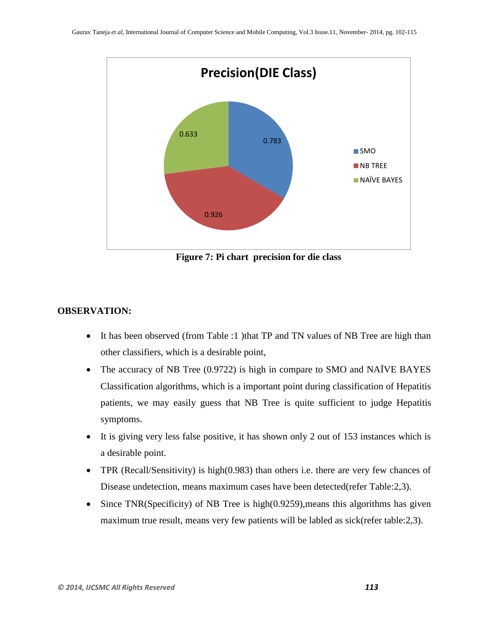

**Figure 7: Pi chart precision for die class**

#### **OBSERVATION:**

- It has been observed (from Table :1) that TP and TN values of NB Tree are high than other classifiers, which is a desirable point,
- The accuracy of NB Tree (0.9722) is high in compare to SMO and NAÏVE BAYES Classification algorithms, which is a important point during classification of Hepatitis patients, we may easily guess that NB Tree is quite sufficient to judge Hepatitis symptoms.
- It is giving very less false positive, it has shown only 2 out of 153 instances which is a desirable point.
- TPR (Recall/Sensitivity) is high(0.983) than others i.e. there are very few chances of Disease undetection, means maximum cases have been detected(refer Table:2,3).
- Since TNR(Specificity) of NB Tree is high(0.9259), means this algorithms has given maximum true result, means very few patients will be labled as sick(refer table:2,3).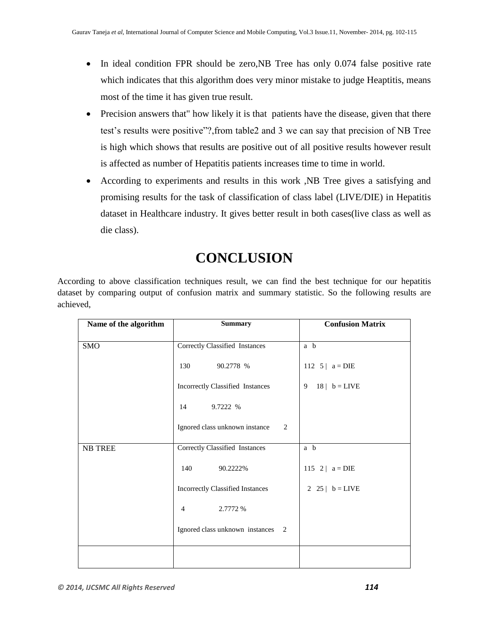- In ideal condition FPR should be zero, NB Tree has only 0.074 false positive rate which indicates that this algorithm does very minor mistake to judge Heaptitis, means most of the time it has given true result.
- Precision answers that" how likely it is that patients have the disease, given that there test's results were positive"?,from table2 and 3 we can say that precision of NB Tree is high which shows that results are positive out of all positive results however result is affected as number of Hepatitis patients increases time to time in world.
- According to experiments and results in this work ,NB Tree gives a satisfying and promising results for the task of classification of class label (LIVE/DIE) in Hepatitis dataset in Healthcare industry. It gives better result in both cases(live class as well as die class).

## **CONCLUSION**

According to above classification techniques result, we can find the best technique for our hepatitis dataset by comparing output of confusion matrix and summary statistic. So the following results are achieved,

| Name of the algorithm | <b>Summary</b>                          | <b>Confusion Matrix</b> |
|-----------------------|-----------------------------------------|-------------------------|
| <b>SMO</b>            | <b>Correctly Classified Instances</b>   | a b                     |
|                       | 90.2778 %<br>130                        | 112 $5   a = DIE$       |
|                       | Incorrectly Classified Instances        | $18$   b = LIVE<br>9    |
|                       | 14<br>9.7222 %                          |                         |
|                       | Ignored class unknown instance<br>2     |                         |
| <b>NB TREE</b>        | Correctly Classified Instances          | a b                     |
|                       | 140<br>90.2222%                         | 115 2   $a = DIE$       |
|                       | <b>Incorrectly Classified Instances</b> | 2 25   $b = LIVE$       |
|                       | 2.7772 %<br>$\overline{4}$              |                         |
|                       | Ignored class unknown instances<br>2    |                         |
|                       |                                         |                         |